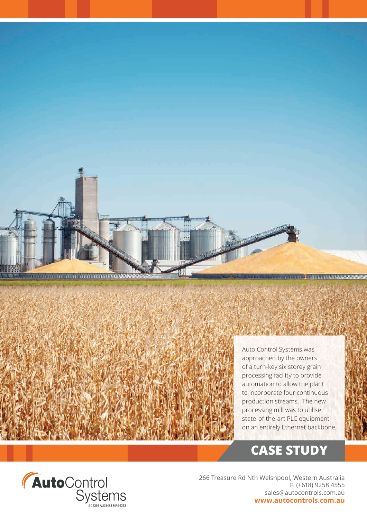

Auto Control Systems was approached by the owners of a turn-key six storey grain processing facility to provide automation to allow the plant to incorporate four continuous production streams. The new processing mill was to utilise state-of-the-art PLC equipment on an entirely Ethernet backbone.

# **CASE STUDY**



266 Treasure Rd Nth Welshpool, Western Australia P. (+618) 9258 4555 sales@autocontrols.com.au **www.autocontrols.com.au**